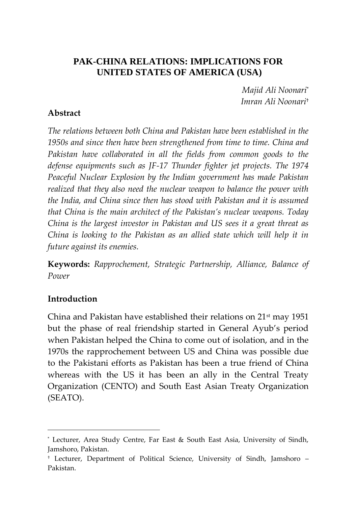### **PAK-CHINA RELATIONS: IMPLICATIONS FOR UNITED STATES OF AMERICA (USA)**

*Majid Ali Noonari*\* *Imran Ali Noonari*†

#### **Abstract**

*The relations between both China and Pakistan have been established in the 1950s and since then have been strengthened from time to time. China and Pakistan have collaborated in all the fields from common goods to the defense equipments such as JF-17 Thunder fighter jet projects. The 1974 Peaceful Nuclear Explosion by the Indian government has made Pakistan realized that they also need the nuclear weapon to balance the power with the India, and China since then has stood with Pakistan and it is assumed that China is the main architect of the Pakistan's nuclear weapons. Today China is the largest investor in Pakistan and US sees it a great threat as China is looking to the Pakistan as an allied state which will help it in future against its enemies.*

**Keywords:** *Rapprochement, Strategic Partnership, Alliance, Balance of Power*

#### **Introduction**

 $\overline{a}$ 

China and Pakistan have established their relations on  $21<sup>st</sup>$  may 1951 but the phase of real friendship started in General Ayub's period when Pakistan helped the China to come out of isolation, and in the 1970s the rapprochement between US and China was possible due to the Pakistani efforts as Pakistan has been a true friend of China whereas with the US it has been an ally in the Central Treaty Organization (CENTO) and South East Asian Treaty Organization (SEATO).

<sup>\*</sup> Lecturer, Area Study Centre, Far East & South East Asia, University of Sindh, Jamshoro, Pakistan.

<sup>†</sup> Lecturer, Department of Political Science, University of Sindh, Jamshoro – Pakistan.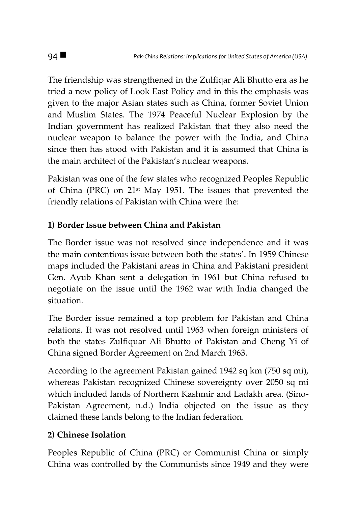The friendship was strengthened in the Zulfiqar Ali Bhutto era as he tried a new policy of Look East Policy and in this the emphasis was given to the major Asian states such as China, former Soviet Union and Muslim States. The 1974 Peaceful Nuclear Explosion by the Indian government has realized Pakistan that they also need the nuclear weapon to balance the power with the India, and China since then has stood with Pakistan and it is assumed that China is the main architect of the Pakistan's nuclear weapons.

Pakistan was one of the few states who recognized Peoples Republic of China (PRC) on 21st May 1951. The issues that prevented the friendly relations of Pakistan with China were the:

# **1) Border Issue between China and Pakistan**

The Border issue was not resolved since independence and it was the main contentious issue between both the states'. In 1959 Chinese maps included the Pakistani areas in China and Pakistani president Gen. Ayub Khan sent a delegation in 1961 but China refused to negotiate on the issue until the 1962 war with India changed the situation.

The Border issue remained a top problem for Pakistan and China relations. It was not resolved until 1963 when foreign ministers of both the states Zulfiquar Ali Bhutto of Pakistan and Cheng Yi of China signed Border Agreement on 2nd March 1963.

According to the agreement Pakistan gained 1942 sq km (750 sq mi), whereas Pakistan recognized Chinese sovereignty over 2050 sq mi which included lands of Northern Kashmir and Ladakh area. (Sino-Pakistan Agreement, n.d.) India objected on the issue as they claimed these lands belong to the Indian federation.

## **2) Chinese Isolation**

Peoples Republic of China (PRC) or Communist China or simply China was controlled by the Communists since 1949 and they were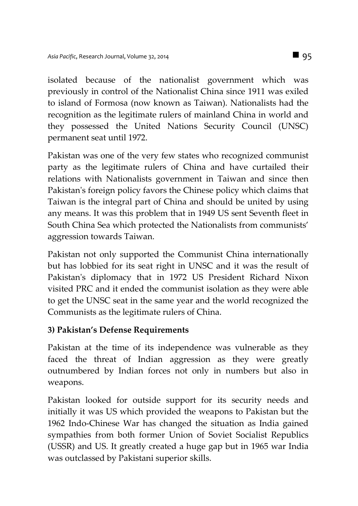isolated because of the nationalist government which was previously in control of the Nationalist China since 1911 was exiled to island of Formosa (now known as Taiwan). Nationalists had the recognition as the legitimate rulers of mainland China in world and they possessed the United Nations Security Council (UNSC) permanent seat until 1972.

Pakistan was one of the very few states who recognized communist party as the legitimate rulers of China and have curtailed their relations with Nationalists government in Taiwan and since then Pakistan's foreign policy favors the Chinese policy which claims that Taiwan is the integral part of China and should be united by using any means. It was this problem that in 1949 US sent Seventh fleet in South China Sea which protected the Nationalists from communists' aggression towards Taiwan.

Pakistan not only supported the Communist China internationally but has lobbied for its seat right in UNSC and it was the result of Pakistan's diplomacy that in 1972 US President Richard Nixon visited PRC and it ended the communist isolation as they were able to get the UNSC seat in the same year and the world recognized the Communists as the legitimate rulers of China.

### **3) Pakistan's Defense Requirements**

Pakistan at the time of its independence was vulnerable as they faced the threat of Indian aggression as they were greatly outnumbered by Indian forces not only in numbers but also in weapons.

Pakistan looked for outside support for its security needs and initially it was US which provided the weapons to Pakistan but the 1962 Indo-Chinese War has changed the situation as India gained sympathies from both former Union of Soviet Socialist Republics (USSR) and US. It greatly created a huge gap but in 1965 war India was outclassed by Pakistani superior skills.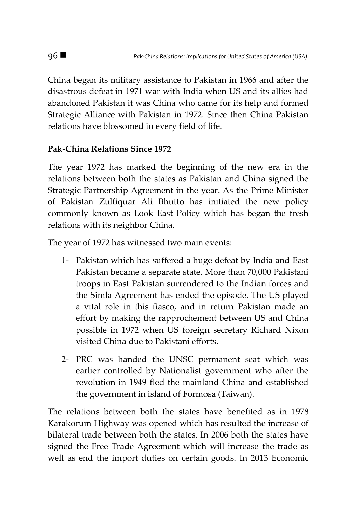China began its military assistance to Pakistan in 1966 and after the disastrous defeat in 1971 war with India when US and its allies had abandoned Pakistan it was China who came for its help and formed Strategic Alliance with Pakistan in 1972. Since then China Pakistan relations have blossomed in every field of life.

## **Pak-China Relations Since 1972**

The year 1972 has marked the beginning of the new era in the relations between both the states as Pakistan and China signed the Strategic Partnership Agreement in the year. As the Prime Minister of Pakistan Zulfiquar Ali Bhutto has initiated the new policy commonly known as Look East Policy which has began the fresh relations with its neighbor China.

The year of 1972 has witnessed two main events:

- 1- Pakistan which has suffered a huge defeat by India and East Pakistan became a separate state. More than 70,000 Pakistani troops in East Pakistan surrendered to the Indian forces and the Simla Agreement has ended the episode. The US played a vital role in this fiasco, and in return Pakistan made an effort by making the rapprochement between US and China possible in 1972 when US foreign secretary Richard Nixon visited China due to Pakistani efforts.
- 2- PRC was handed the UNSC permanent seat which was earlier controlled by Nationalist government who after the revolution in 1949 fled the mainland China and established the government in island of Formosa (Taiwan).

The relations between both the states have benefited as in 1978 Karakorum Highway was opened which has resulted the increase of bilateral trade between both the states. In 2006 both the states have signed the Free Trade Agreement which will increase the trade as well as end the import duties on certain goods. In 2013 Economic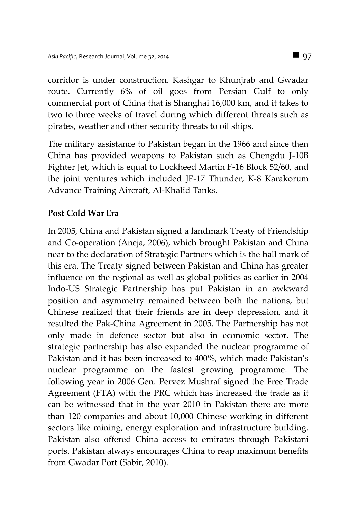corridor is under construction. Kashgar to Khunjrab and Gwadar route. Currently 6% of oil goes from Persian Gulf to only commercial port of China that is Shanghai 16,000 km, and it takes to two to three weeks of travel during which different threats such as pirates, weather and other security threats to oil ships.

The military assistance to Pakistan began in the 1966 and since then China has provided weapons to Pakistan such as Chengdu J-10B Fighter Jet, which is equal to Lockheed Martin F-16 Block 52/60, and the joint ventures which included JF-17 Thunder, K-8 Karakorum Advance Training Aircraft, Al-Khalid Tanks.

#### **Post Cold War Era**

In 2005, China and Pakistan signed a landmark Treaty of Friendship and Co-operation (Aneja, 2006), which brought Pakistan and China near to the declaration of Strategic Partners which is the hall mark of this era. The Treaty signed between Pakistan and China has greater influence on the regional as well as global politics as earlier in 2004 Indo-US Strategic Partnership has put Pakistan in an awkward position and asymmetry remained between both the nations, but Chinese realized that their friends are in deep depression, and it resulted the Pak-China Agreement in 2005. The Partnership has not only made in defence sector but also in economic sector. The strategic partnership has also expanded the nuclear programme of Pakistan and it has been increased to 400%, which made Pakistan's nuclear programme on the fastest growing programme. The following year in 2006 Gen. Pervez Mushraf signed the Free Trade Agreement (FTA) with the PRC which has increased the trade as it can be witnessed that in the year 2010 in Pakistan there are more than 120 companies and about 10,000 Chinese working in different sectors like mining, energy exploration and infrastructure building. Pakistan also offered China access to emirates through Pakistani ports. Pakistan always encourages China to reap maximum benefits from Gwadar Port **(**Sabir, 2010).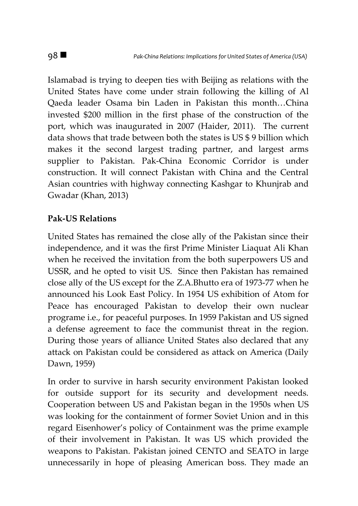Islamabad is trying to deepen ties with Beijing as relations with the United States have come under strain following the killing of Al Qaeda leader Osama bin Laden in Pakistan this month…China invested \$200 million in the first phase of the construction of the port, which was inaugurated in 2007 (Haider, 2011). The current data shows that trade between both the states is US \$ 9 billion which makes it the second largest trading partner, and largest arms supplier to Pakistan. Pak-China Economic Corridor is under construction. It will connect Pakistan with China and the Central Asian countries with highway connecting Kashgar to Khunjrab and [Gwadar](http://en.wikipedia.org/wiki/Gwadar) (Khan, 2013)

#### **Pak-US Relations**

United States has remained the close ally of the Pakistan since their independence, and it was the first Prime Minister Liaquat Ali Khan when he received the invitation from the both superpowers US and USSR, and he opted to visit US. Since then Pakistan has remained close ally of the US except for the Z.A.Bhutto era of 1973-77 when he announced his Look East Policy. In 1954 US exhibition of Atom for Peace has encouraged Pakistan to develop their own nuclear programe i.e., for peaceful purposes. In 1959 Pakistan and US signed a defense agreement to face the communist threat in the region. During those years of alliance United States also declared that any attack on Pakistan could be considered as attack on America (Daily Dawn, 1959)

In order to survive in harsh security environment Pakistan looked for outside support for its security and development needs. Cooperation between US and Pakistan began in the 1950s when US was looking for the containment of former Soviet Union and in this regard Eisenhower's policy of Containment was the prime example of their involvement in Pakistan. It was US which provided the weapons to Pakistan. Pakistan joined CENTO and SEATO in large unnecessarily in hope of pleasing American boss. They made an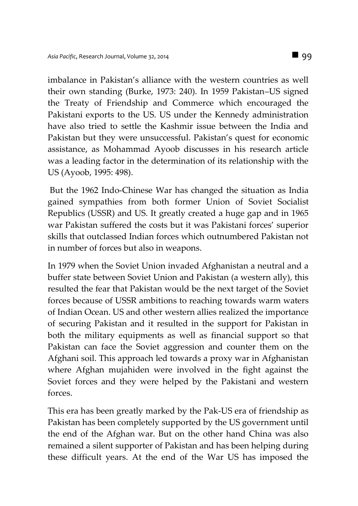imbalance in Pakistan's alliance with the western countries as well their own standing (Burke, 1973: 240). In 1959 Pakistan–US signed the Treaty of Friendship and Commerce which encouraged the Pakistani exports to the US. US under the Kennedy administration have also tried to settle the Kashmir issue between the India and Pakistan but they were unsuccessful. Pakistan's quest for economic assistance, as Mohammad Ayoob discusses in his research article was a leading factor in the determination of its relationship with the US (Ayoob, 1995: 498).

But the 1962 Indo-Chinese War has changed the situation as India gained sympathies from both former Union of Soviet Socialist Republics (USSR) and US. It greatly created a huge gap and in 1965 war Pakistan suffered the costs but it was Pakistani forces' superior skills that outclassed Indian forces which outnumbered Pakistan not in number of forces but also in weapons.

In 1979 when the Soviet Union invaded Afghanistan a neutral and a buffer state between Soviet Union and Pakistan (a western ally), this resulted the fear that Pakistan would be the next target of the Soviet forces because of USSR ambitions to reaching towards warm waters of Indian Ocean. US and other western allies realized the importance of securing Pakistan and it resulted in the support for Pakistan in both the military equipments as well as financial support so that Pakistan can face the Soviet aggression and counter them on the Afghani soil. This approach led towards a proxy war in Afghanistan where Afghan mujahiden were involved in the fight against the Soviet forces and they were helped by the Pakistani and western forces.

This era has been greatly marked by the Pak-US era of friendship as Pakistan has been completely supported by the US government until the end of the Afghan war. But on the other hand China was also remained a silent supporter of Pakistan and has been helping during these difficult years. At the end of the War US has imposed the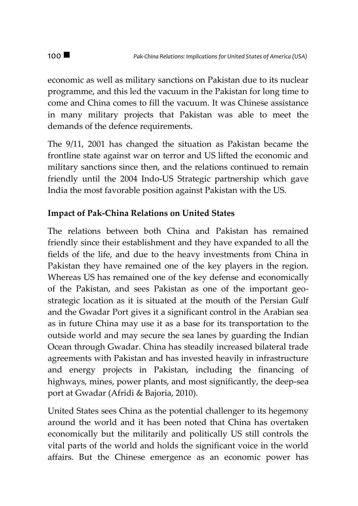economic as well as military sanctions on Pakistan due to its nuclear programme, and this led the vacuum in the Pakistan for long time to come and China comes to fill the vacuum. It was Chinese assistance in many military projects that Pakistan was able to meet the demands of the defence requirements.

The 9/11, 2001 has changed the situation as Pakistan became the frontline state against war on terror and US lifted the economic and military sanctions since then, and the relations continued to remain friendly until the 2004 Indo-US Strategic partnership which gave India the most favorable position against Pakistan with the US.

### **Impact of Pak-China Relations on United States**

The relations between both China and Pakistan has remained friendly since their establishment and they have expanded to all the fields of the life, and due to the heavy investments from China in Pakistan they have remained one of the key players in the region. Whereas US has remained one of the key defense and economically of the Pakistan, and sees Pakistan as one of the important geostrategic location as it is situated at the mouth of the Persian Gulf and the Gwadar Port gives it a significant control in the Arabian sea as in future China may use it as a base for its transportation to the outside world and may secure the sea lanes by guarding the Indian Ocean through Gwadar. China has steadily increased bilateral trade agreements with Pakistan and has invested heavily in infrastructure and energy projects in Pakistan, including the financing of highways, mines, power plants, and most significantly, the deep-sea port at Gwadar (Afridi & Bajoria, 2010).

United States sees China as the potential challenger to its hegemony around the world and it has been noted that China has overtaken economically but the militarily and politically US still controls the vital parts of the world and holds the significant voice in the world affairs. But the Chinese emergence as an economic power has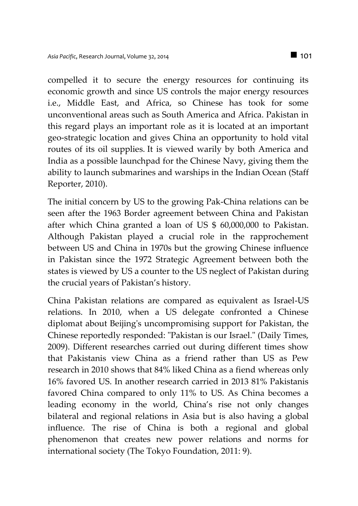compelled it to secure the energy resources for continuing its economic growth and since US controls the major energy resources i.e., Middle East, and Africa, so Chinese has took for some unconventional areas such as South America and Africa. Pakistan in this regard plays an important role as it is located at an important geo-strategic location and gives China an opportunity to hold vital routes of its oil supplies. It is viewed warily by both America and India as a possible launchpad for the Chinese Navy, giving them the ability to launch submarines and warships in the Indian Ocean (Staff Reporter, 2010).

The initial concern by US to the growing Pak-China relations can be seen after the 1963 Border agreement between China and Pakistan after which China granted a loan of US \$ 60,000,000 to Pakistan. Although Pakistan played a crucial role in the rapprochement between US and China in 1970s but the growing Chinese influence in Pakistan since the 1972 Strategic Agreement between both the states is viewed by US a counter to the US neglect of Pakistan during the crucial years of Pakistan's history.

China Pakistan relations are compared as equivalent as Israel-US relations. In 2010, when a US delegate confronted a Chinese diplomat about Beijing's uncompromising support for Pakistan, the Chinese reportedly responded: "Pakistan is our Israel." (Daily Times, 2009). Different researches carried out during different times show that Pakistanis view China as a friend rather than US as Pew research in 2010 shows that 84% liked China as a fiend whereas only 16% favored US. In another research carried in 2013 81% Pakistanis favored China compared to only 11% to US. As China becomes a leading economy in the world, China's rise not only changes bilateral and regional relations in Asia but is also having a global influence. The rise of China is both a regional and global phenomenon that creates new power relations and norms for international society (The Tokyo Foundation, 2011: 9).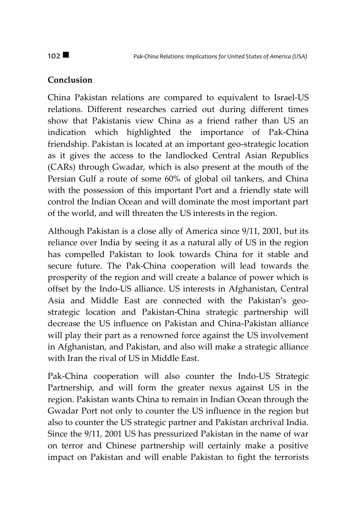## **Conclusion**

China Pakistan relations are compared to equivalent to Israel-US relations. Different researches carried out during different times show that Pakistanis view China as a friend rather than US an indication which highlighted the importance of Pak-China friendship. Pakistan is located at an important geo-strategic location as it gives the access to the landlocked Central Asian Republics (CARs) through Gwadar, which is also present at the mouth of the Persian Gulf a route of some 60% of global oil tankers, and China with the possession of this important Port and a friendly state will control the Indian Ocean and will dominate the most important part of the world, and will threaten the US interests in the region.

Although Pakistan is a close ally of America since 9/11, 2001, but its reliance over India by seeing it as a natural ally of US in the region has compelled Pakistan to look towards China for it stable and secure future. The Pak-China cooperation will lead towards the prosperity of the region and will create a balance of power which is offset by the Indo-US alliance. US interests in Afghanistan, Central Asia and Middle East are connected with the Pakistan's geostrategic location and Pakistan-China strategic partnership will decrease the US influence on Pakistan and China-Pakistan alliance will play their part as a renowned force against the US involvement in Afghanistan, and Pakistan, and also will make a strategic alliance with Iran the rival of US in Middle East.

Pak-China cooperation will also counter the Indo-US Strategic Partnership, and will form the greater nexus against US in the region. Pakistan wants China to remain in Indian Ocean through the Gwadar Port not only to counter the US influence in the region but also to counter the US strategic partner and Pakistan archrival India. Since the 9/11, 2001 US has pressurized Pakistan in the name of war on terror and Chinese partnership will certainly make a positive impact on Pakistan and will enable Pakistan to fight the terrorists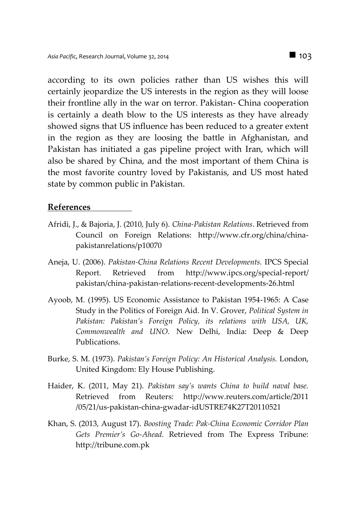according to its own policies rather than US wishes this will certainly jeopardize the US interests in the region as they will loose their frontline ally in the war on terror. Pakistan- China cooperation is certainly a death blow to the US interests as they have already showed signs that US influence has been reduced to a greater extent in the region as they are loosing the battle in Afghanistan, and Pakistan has initiated a gas pipeline project with Iran, which will also be shared by China, and the most important of them China is the most favorite country loved by Pakistanis, and US most hated state by common public in Pakistan.

#### **References**

- Afridi, J., & Bajoria, J. (2010, July 6). *China-Pakistan Relations*. Retrieved from Council on Foreign Relations: http://www.cfr.org/china/chinapakistanrelations/p10070
- Aneja, U. (2006). *Pakistan-China Relations Recent Developments.* IPCS Special Report. Retrieved from http://www.ipcs.org/special-report/ pakistan/china-pakistan-relations-recent-developments-26.html
- Ayoob, M. (1995). US Economic Assistance to Pakistan 1954-1965: A Case Study in the Politics of Foreign Aid. In V. Grover, *Political System in Pakistan: Pakistan's Foreign Policy, its relations with USA, UK, Commonwealth and UNO.* New Delhi, India: Deep & Deep Publications.
- Burke, S. M. (1973). *Pakistan's Foreign Policy: An Historical Analysis.* London, United Kingdom: Ely House Publishing.
- Haider, K. (2011, May 21). *Pakistan say's wants China to build naval base.* Retrieved from Reuters: http://www.reuters.com/article/2011 /05/21/us-pakistan-china-gwadar-idUSTRE74K27T20110521
- Khan, S. (2013, August 17). *Boosting Trade: Pak-China Economic Corridor Plan Gets Premier's Go-Ahead.* Retrieved from The Express Tribune: http://tribune.com.pk